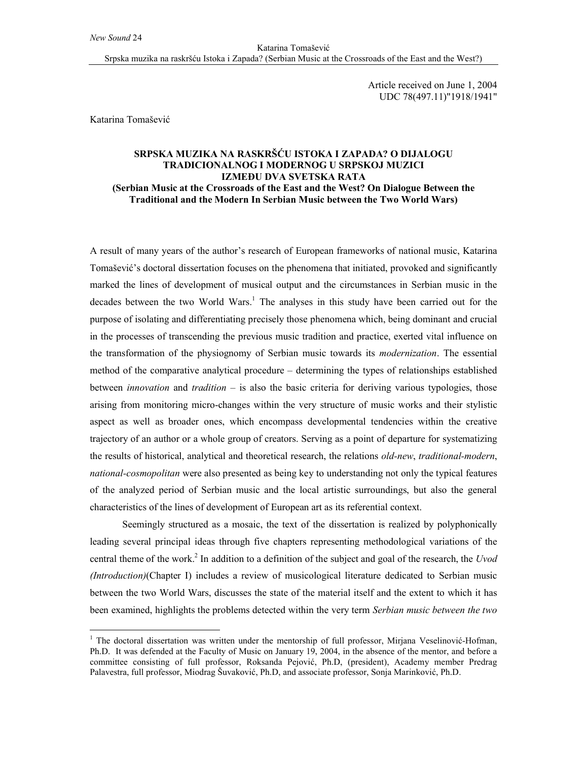Katarina Tomašević Srpska muzika na raskršću Istoka i Zapada? (Serbian Music at the Crossroads of the East and the West?)

> Article received on June 1, 2004 UDC 78(497.11)"1918/1941"

Katarina Tomašević

 $\overline{a}$ 

## **SRPSKA MUZIKA NA RASKRŠĆU ISTOKA I ZAPADA? O DIJALOGU TRADICIONALNOG I MODERNOG U SRPSKOJ MUZICI IZMEĐU DVA SVETSKA RATA (Serbian Music at the Crossroads of the East and the West? On Dialogue Between the Traditional and the Modern In Serbian Music between the Two World Wars)**

A result of many years of the author's research of European frameworks of national music, Katarina Tomašević's doctoral dissertation focuses on the phenomena that initiated, provoked and significantly marked the lines of development of musical output and the circumstances in Serbian music in the decades between the two World Wars.<sup>1</sup> The analyses in this study have been carried out for the purpose of isolating and differentiating precisely those phenomena which, being dominant and crucial in the processes of transcending the previous music tradition and practice, exerted vital influence on the transformation of the physiognomy of Serbian music towards its *modernization*. The essential method of the comparative analytical procedure – determining the types of relationships established between *innovation* and *tradition* – is also the basic criteria for deriving various typologies, those arising from monitoring micro-changes within the very structure of music works and their stylistic aspect as well as broader ones, which encompass developmental tendencies within the creative trajectory of an author or a whole group of creators. Serving as a point of departure for systematizing the results of historical, analytical and theoretical research, the relations *old-new*, *traditional-modern*, *national-cosmopolitan* were also presented as being key to understanding not only the typical features of the analyzed period of Serbian music and the local artistic surroundings, but also the general characteristics of the lines of development of European art as its referential context.

Seemingly structured as a mosaic, the text of the dissertation is realized by polyphonically leading several principal ideas through five chapters representing methodological variations of the central theme of the work.<sup>2</sup> In addition to a definition of the subject and goal of the research, the *Uvod (Introduction)*(Chapter I) includes a review of musicological literature dedicated to Serbian music between the two World Wars, discusses the state of the material itself and the extent to which it has been examined, highlights the problems detected within the very term *Serbian music between the two* 

<sup>&</sup>lt;sup>1</sup> The doctoral dissertation was written under the mentorship of full professor, Mirjana Veselinović-Hofman, Ph.D. It was defended at the Faculty of Music on January 19, 2004, in the absence of the mentor, and before a committee consisting of full professor, Roksanda Pejović, Ph.D, (president), Academy member Predrag Palavestra, full professor, Miodrag Šuvaković, Ph.D, and associate professor, Sonja Marinković, Ph.D.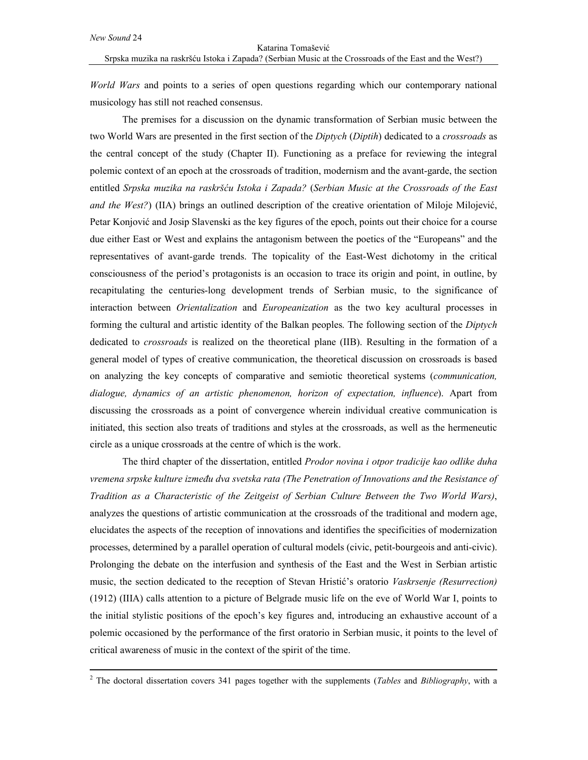$\overline{a}$ 

*World Wars* and points to a series of open questions regarding which our contemporary national musicology has still not reached consensus.

The premises for a discussion on the dynamic transformation of Serbian music between the two World Wars are presented in the first section of the *Diptych* (*Diptih*) dedicated to a *crossroads* as the central concept of the study (Chapter II). Functioning as a preface for reviewing the integral polemic context of an epoch at the crossroads of tradition, modernism and the avant-garde, the section entitled *Srpska muzika na raskršću Istoka i Zapada?* (*Serbian Music at the Crossroads of the East and the West?*) (IIA) brings an outlined description of the creative orientation of Miloje Milojević, Petar Konjović and Josip Slavenski as the key figures of the epoch, points out their choice for a course due either East or West and explains the antagonism between the poetics of the "Europeans" and the representatives of avant-garde trends. The topicality of the East-West dichotomy in the critical consciousness of the period's protagonists is an occasion to trace its origin and point, in outline, by recapitulating the centuries-long development trends of Serbian music, to the significance of interaction between *Orientalization* and *Europeanization* as the two key acultural processes in forming the cultural and artistic identity of the Balkan peoples. The following section of the *Diptych* dedicated to *crossroads* is realized on the theoretical plane (IIB). Resulting in the formation of a general model of types of creative communication, the theoretical discussion on crossroads is based on analyzing the key concepts of comparative and semiotic theoretical systems (*communication, dialogue, dynamics of an artistic phenomenon, horizon of expectation, influence*). Apart from discussing the crossroads as a point of convergence wherein individual creative communication is initiated, this section also treats of traditions and styles at the crossroads, as well as the hermeneutic circle as a unique crossroads at the centre of which is the work.

The third chapter of the dissertation, entitled *Prodor novina i otpor tradicije kao odlike duha vremena srpske kulture između dva svetska rata (The Penetration of Innovations and the Resistance of Tradition as a Characteristic of the Zeitgeist of Serbian Culture Between the Two World Wars)*, analyzes the questions of artistic communication at the crossroads of the traditional and modern age, elucidates the aspects of the reception of innovations and identifies the specificities of modernization processes, determined by a parallel operation of cultural models (civic, petit-bourgeois and anti-civic). Prolonging the debate on the interfusion and synthesis of the East and the West in Serbian artistic music, the section dedicated to the reception of Stevan Hristić's oratorio *Vaskrsenje (Resurrection)*  (1912) (IIIA) calls attention to a picture of Belgrade music life on the eve of World War I, points to the initial stylistic positions of the epoch's key figures and, introducing an exhaustive account of a polemic occasioned by the performance of the first oratorio in Serbian music, it points to the level of critical awareness of music in the context of the spirit of the time.

<sup>2</sup> The doctoral dissertation covers 341 pages together with the supplements (*Tables* and *Bibliography*, with a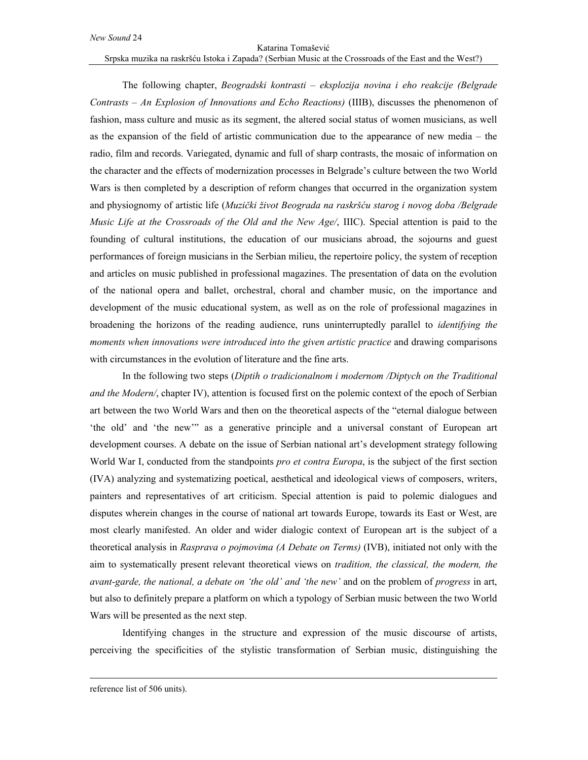## Katarina Tomašević

Srpska muzika na raskršću Istoka i Zapada? (Serbian Music at the Crossroads of the East and the West?)

The following chapter, *Beogradski kontrasti – eksplozija novina i eho reakcije (Belgrade Contrasts – An Explosion of Innovations and Echo Reactions)* (IIIB), discusses the phenomenon of fashion, mass culture and music as its segment, the altered social status of women musicians, as well as the expansion of the field of artistic communication due to the appearance of new media – the radio, film and records. Variegated, dynamic and full of sharp contrasts, the mosaic of information on the character and the effects of modernization processes in Belgrade's culture between the two World Wars is then completed by a description of reform changes that occurred in the organization system and physiognomy of artistic life (*Muzički život Beograda na raskršću starog i novog doba /Belgrade Music Life at the Crossroads of the Old and the New Age/*, IIIC). Special attention is paid to the founding of cultural institutions, the education of our musicians abroad, the sojourns and guest performances of foreign musicians in the Serbian milieu, the repertoire policy, the system of reception and articles on music published in professional magazines. The presentation of data on the evolution of the national opera and ballet, orchestral, choral and chamber music, on the importance and development of the music educational system, as well as on the role of professional magazines in broadening the horizons of the reading audience, runs uninterruptedly parallel to *identifying the moments when innovations were introduced into the given artistic practice* and drawing comparisons with circumstances in the evolution of literature and the fine arts.

In the following two steps (*Diptih o tradicionalnom i modernom /Diptych on the Traditional and the Modern/*, chapter IV), attention is focused first on the polemic context of the epoch of Serbian art between the two World Wars and then on the theoretical aspects of the "eternal dialogue between 'the old' and 'the new'" as a generative principle and a universal constant of European art development courses. A debate on the issue of Serbian national art's development strategy following World War I, conducted from the standpoints *pro et contra Europa*, is the subject of the first section (IVA) analyzing and systematizing poetical, aesthetical and ideological views of composers, writers, painters and representatives of art criticism. Special attention is paid to polemic dialogues and disputes wherein changes in the course of national art towards Europe, towards its East or West, are most clearly manifested. An older and wider dialogic context of European art is the subject of a theoretical analysis in *Rasprava o pojmovima (A Debate on Terms)* (IVB), initiated not only with the aim to systematically present relevant theoretical views on *tradition, the classical, the modern, the avant-garde, the national, a debate on 'the old' and 'the new'* and on the problem of *progress* in art, but also to definitely prepare a platform on which a typology of Serbian music between the two World Wars will be presented as the next step.

Identifying changes in the structure and expression of the music discourse of artists, perceiving the specificities of the stylistic transformation of Serbian music, distinguishing the

 $\overline{a}$